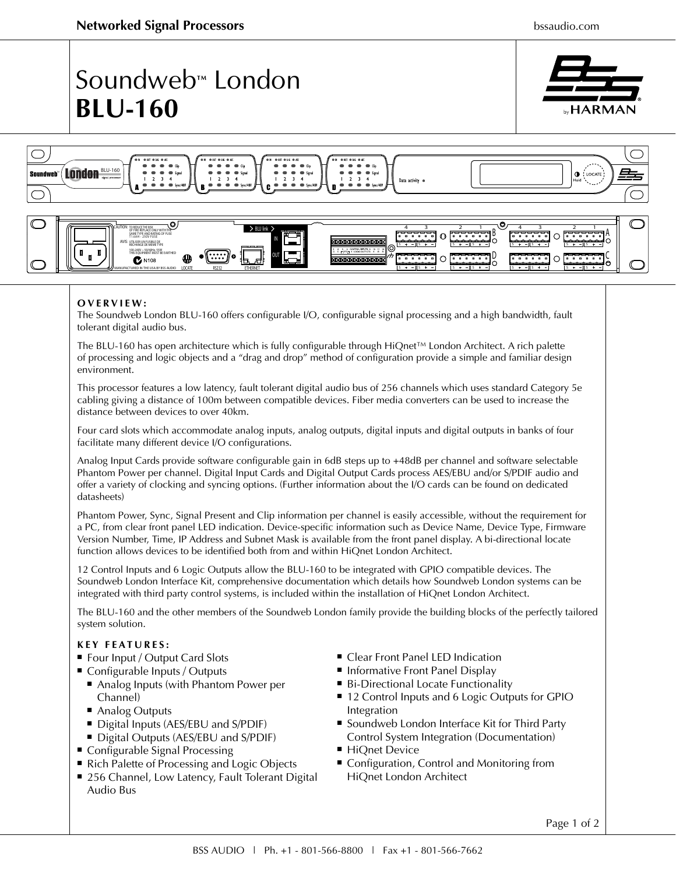$D$  <del>control</del>  $\cap$  <del>control</del>

**S S S S**

## Soundweb**™** London **BLU-160**





## **OVERVIEW:**

 $\overline{\mathbf{C}}$  N108

100-240V ~ 50/60Hz, 55W

MANUFACTURED IN THE USA BY BSS AUDIO **LOCATE RS232**

The Soundweb London BLU-160 offers configurable I/O, configurable signal processing and a high bandwidth, fault tolerant digital audio bus.

**ETHERNET**

**OUT**

The BLU-160 has open architecture which is fully configurable through HiQnet™ London Architect. A rich palette of processing and logic objects and a "drag and drop" method of configuration provide a simple and familiar design environment.

This processor features a low latency, fault tolerant digital audio bus of 256 channels which uses standard Category 5e cabling giving a distance of 100m between compatible devices. Fiber media converters can be used to increase the distance between devices to over 40km.

Four card slots which accommodate analog inputs, analog outputs, digital inputs and digital outputs in banks of four facilitate many different device I/O configurations.

Analog Input Cards provide software configurable gain in 6dB steps up to +48dB per channel and software selectable Phantom Power per channel. Digital Input Cards and Digital Output Cards process AES/EBU and/or S/PDIF audio and offer a variety of clocking and syncing options. (Further information about the I/O cards can be found on dedicated datasheets)

Phantom Power, Sync, Signal Present and Clip information per channel is easily accessible, without the requirement for a PC, from clear front panel LED indication. Device-specific information such as Device Name, Device Type, Firmware Version Number, Time, IP Address and Subnet Mask is available from the front panel display. A bi-directional locate function allows devices to be identified both from and within HiQnet London Architect.

12 Control Inputs and 6 Logic Outputs allow the BLU-160 to be integrated with GPIO compatible devices. The Soundweb London Interface Kit, comprehensive documentation which details how Soundweb London systems can be integrated with third party control systems, is included within the installation of HiQnet London Architect.

The BLU-160 and the other members of the Soundweb London family provide the building blocks of the perfectly tailored system solution.

## **KEY FEATURES:**

- Four Input / Output Card Slots
- Configurable Inputs / Outputs
	- Analog Inputs (with Phantom Power per Channel)
	- Analog Outputs
	- Digital Inputs (AES/EBU and S/PDIF)
	- 9 Digital Outputs (AES/EBU and S/PDIF)
- Configurable Signal Processing
- Rich Palette of Processing and Logic Objects
- 256 Channel, Low Latency, Fault Tolerant Digital Audio Bus
- Clear Front Panel LED Indication
- **Informative Front Panel Display**
- Bi-Directional Locate Functionality

**S S S S**

- 12 Control Inputs and 6 Logic Outputs for GPIO Integration
- Soundweb London Interface Kit for Third Party Control System Integration (Documentation)
- HiQnet Device
- Configuration, Control and Monitoring from HiQnet London Architect

Page 1 of 2